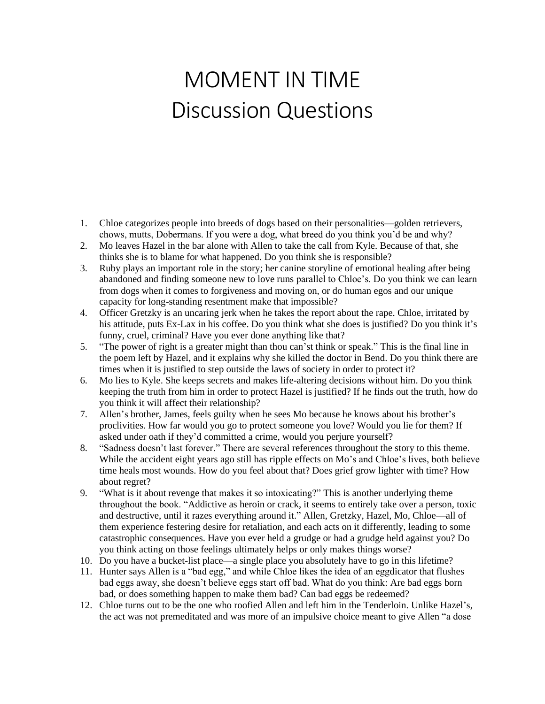## MOMENT IN TIME Discussion Questions

- 1. Chloe categorizes people into breeds of dogs based on their personalities—golden retrievers, chows, mutts, Dobermans. If you were a dog, what breed do you think you'd be and why?
- 2. Mo leaves Hazel in the bar alone with Allen to take the call from Kyle. Because of that, she thinks she is to blame for what happened. Do you think she is responsible?
- 3. Ruby plays an important role in the story; her canine storyline of emotional healing after being abandoned and finding someone new to love runs parallel to Chloe's. Do you think we can learn from dogs when it comes to forgiveness and moving on, or do human egos and our unique capacity for long-standing resentment make that impossible?
- 4. Officer Gretzky is an uncaring jerk when he takes the report about the rape. Chloe, irritated by his attitude, puts Ex-Lax in his coffee. Do you think what she does is justified? Do you think it's funny, cruel, criminal? Have you ever done anything like that?
- 5. "The power of right is a greater might than thou can'st think or speak." This is the final line in the poem left by Hazel, and it explains why she killed the doctor in Bend. Do you think there are times when it is justified to step outside the laws of society in order to protect it?
- 6. Mo lies to Kyle. She keeps secrets and makes life-altering decisions without him. Do you think keeping the truth from him in order to protect Hazel is justified? If he finds out the truth, how do you think it will affect their relationship?
- 7. Allen's brother, James, feels guilty when he sees Mo because he knows about his brother's proclivities. How far would you go to protect someone you love? Would you lie for them? If asked under oath if they'd committed a crime, would you perjure yourself?
- 8. "Sadness doesn't last forever." There are several references throughout the story to this theme. While the accident eight years ago still has ripple effects on Mo's and Chloe's lives, both believe time heals most wounds. How do you feel about that? Does grief grow lighter with time? How about regret?
- 9. "What is it about revenge that makes it so intoxicating?" This is another underlying theme throughout the book. "Addictive as heroin or crack, it seems to entirely take over a person, toxic and destructive, until it razes everything around it." Allen, Gretzky, Hazel, Mo, Chloe—all of them experience festering desire for retaliation, and each acts on it differently, leading to some catastrophic consequences. Have you ever held a grudge or had a grudge held against you? Do you think acting on those feelings ultimately helps or only makes things worse?
- 10. Do you have a bucket-list place—a single place you absolutely have to go in this lifetime?
- 11. Hunter says Allen is a "bad egg," and while Chloe likes the idea of an eggdicator that flushes bad eggs away, she doesn't believe eggs start off bad. What do you think: Are bad eggs born bad, or does something happen to make them bad? Can bad eggs be redeemed?
- 12. Chloe turns out to be the one who roofied Allen and left him in the Tenderloin. Unlike Hazel's, the act was not premeditated and was more of an impulsive choice meant to give Allen "a dose